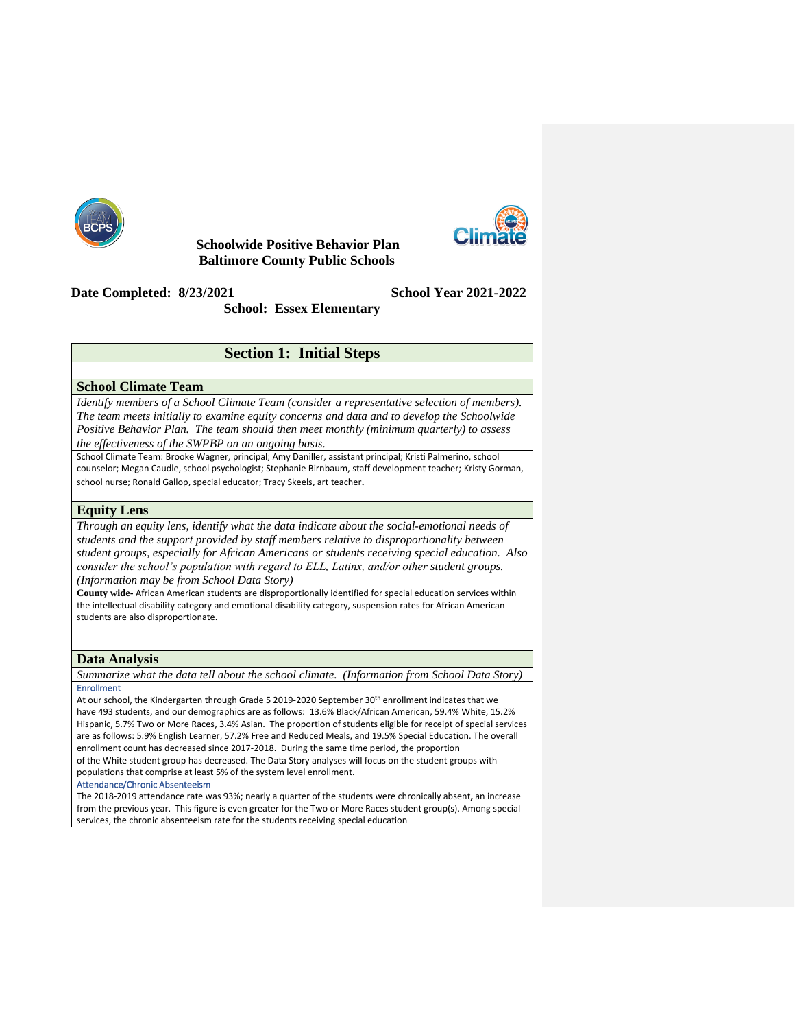

 **Schoolwide Positive Behavior Plan Baltimore County Public Schools**



**Date Completed: 8/23/2021 School Year 2021-2022**

**School: Essex Elementary**

# **Section 1: Initial Steps**

### **School Climate Team**

*Identify members of a School Climate Team (consider a representative selection of members). The team meets initially to examine equity concerns and data and to develop the Schoolwide Positive Behavior Plan. The team should then meet monthly (minimum quarterly) to assess the effectiveness of the SWPBP on an ongoing basis.*

School Climate Team: Brooke Wagner, principal; Amy Daniller, assistant principal; Kristi Palmerino, school counselor; Megan Caudle, school psychologist; Stephanie Birnbaum, staff development teacher; Kristy Gorman, school nurse; Ronald Gallop, special educator; Tracy Skeels, art teacher.

### **Equity Lens**

*Through an equity lens, identify what the data indicate about the social-emotional needs of students and the support provided by staff members relative to disproportionality between student groups, especially for African Americans or students receiving special education. Also consider the school's population with regard to ELL, Latinx, and/or other student groups. (Information may be from School Data Story)*

**County wide-** African American students are disproportionally identified for special education services within the intellectual disability category and emotional disability category, suspension rates for African American students are also disproportionate.

### **Data Analysis**

*Summarize what the data tell about the school climate. (Information from School Data Story)* Enrollment

At our school, the Kindergarten through Grade 5 2019-2020 September 30<sup>th</sup> enrollment indicates that we have 493 students, and our demographics are as follows:  13.6% Black/African American, 59.4% White, 15.2% Hispanic, 5.7% Two or More Races, 3.4% Asian.  The proportion of students eligible for receipt of special services are as follows: 5.9% English Learner, 57.2% Free and Reduced Meals, and 19.5% Special Education. The overall enrollment count has decreased since 2017-2018.  During the same time period, the proportion

of the White student group has decreased. The Data Story analyses will focus on the student groups with populations that comprise at least 5% of the system level enrollment. 

#### Attendance/Chronic Absenteeism

The 2018-2019 attendance rate was 93%; nearly a quarter of the students were chronically absent**,** an increase from the previous year.  This figure is even greater for the Two or More Races student group(s). Among special services, the chronic absenteeism rate for the students receiving special education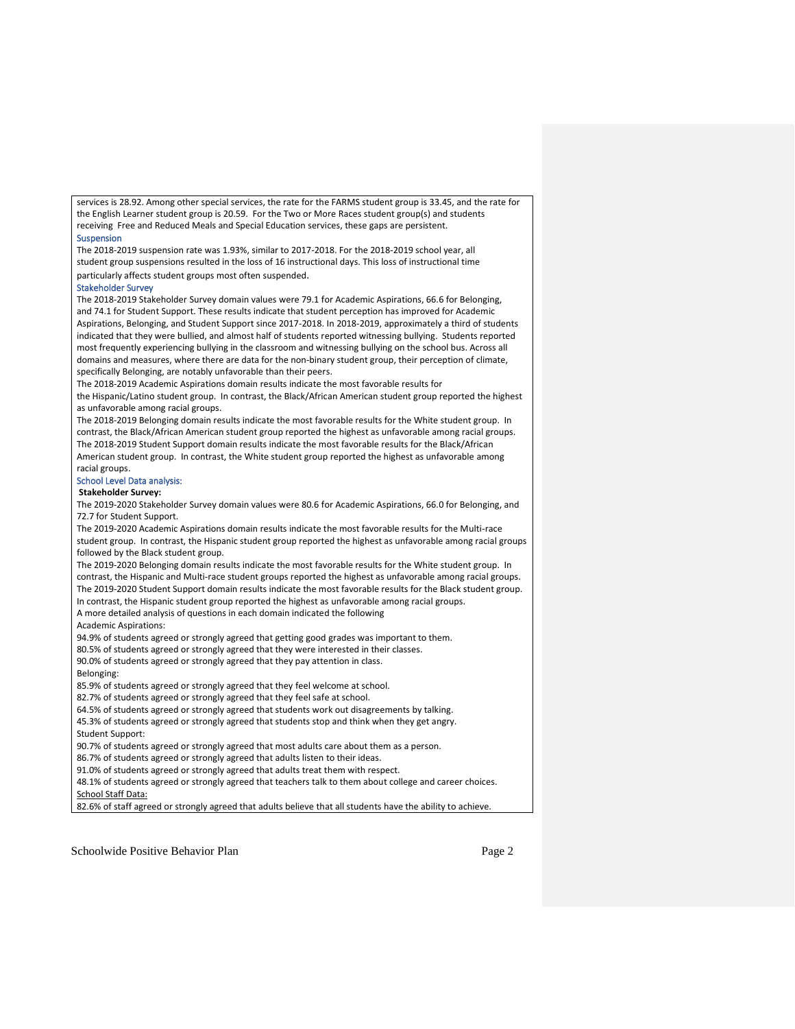services is 28.92. Among other special services, the rate for the FARMS student group is 33.45, and the rate for the English Learner student group is 20.59.  For the Two or More Races student group(s) and students receiving  Free and Reduced Meals and Special Education services, these gaps are persistent. 

#### **Suspension**

The 2018-2019 suspension rate was 1.93%, similar to 2017-2018. For the 2018-2019 school year, all student group suspensions resulted in the loss of 16 instructional days. This loss of instructional time particularly affects student groups most often suspended. 

#### Stakeholder Survey

The 2018-2019 Stakeholder Survey domain values were 79.1 for Academic Aspirations, 66.6 for Belonging, and 74.1 for Student Support. These results indicate that student perception has improved for Academic Aspirations, Belonging, and Student Support since 2017-2018. In 2018-2019, approximately a third of students indicated that they were bullied, and almost half of students reported witnessing bullying.  Students reported most frequently experiencing bullying in the classroom and witnessing bullying on the school bus. Across all domains and measures, where there are data for the non-binary student group, their perception of climate, specifically Belonging, are notably unfavorable than their peers. 

The 2018-2019 Academic Aspirations domain results indicate the most favorable results for the Hispanic/Latino student group.  In contrast, the Black/African American student group reported the highest as unfavorable among racial groups. 

The 2018-2019 Belonging domain results indicate the most favorable results for the White student group.  In contrast, the Black/African American student group reported the highest as unfavorable among racial groups.   The 2018-2019 Student Support domain results indicate the most favorable results for the Black/African American student group.  In contrast, the White student group reported the highest as unfavorable among racial groups.  

#### School Level Data analysis:

#### **Stakeholder Survey:**

The 2019-2020 Stakeholder Survey domain values were 80.6 for Academic Aspirations, 66.0 for Belonging, and 72.7 for Student Support.   

The 2019-2020 Academic Aspirations domain results indicate the most favorable results for the Multi-race student group.  In contrast, the Hispanic student group reported the highest as unfavorable among racial groups followed by the Black student group.   

The 2019-2020 Belonging domain results indicate the most favorable results for the White student group.  In contrast, the Hispanic and Multi-race student groups reported the highest as unfavorable among racial groups.  The 2019-2020 Student Support domain results indicate the most favorable results for the Black student group.  In contrast, the Hispanic student group reported the highest as unfavorable among racial groups.  A more detailed analysis of questions in each domain indicated the following 

Academic Aspirations: 

94.9% of students agreed or strongly agreed that getting good grades was important to them.   

80.5% of students agreed or strongly agreed that they were interested in their classes. 

90.0% of students agreed or strongly agreed that they pay attention in class.   

Belonging: 

85.9% of students agreed or strongly agreed that they feel welcome at school. 

82.7% of students agreed or strongly agreed that they feel safe at school. 

64.5% of students agreed or strongly agreed that students work out disagreements by talking. 45.3% of students agreed or strongly agreed that students stop and think when they get angry.  Student Support: 

90.7% of students agreed or strongly agreed that most adults care about them as a person. 

86.7% of students agreed or strongly agreed that adults listen to their ideas. 

91.0% of students agreed or strongly agreed that adults treat them with respect. 

48.1% of students agreed or strongly agreed that teachers talk to them about college and career choices.    School Staff Data:

82.6% of staff agreed or strongly agreed that adults believe that all students have the ability to achieve.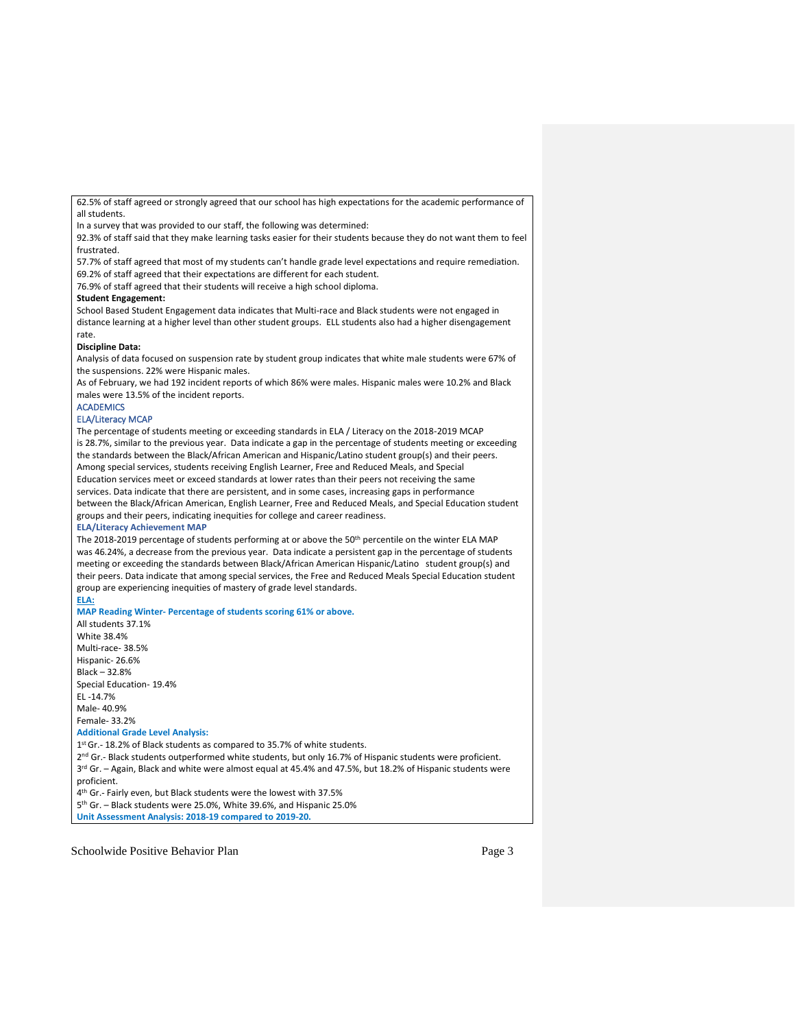62.5% of staff agreed or strongly agreed that our school has high expectations for the academic performance of all students.  

In a survey that was provided to our staff, the following was determined: 

92.3% of staff said that they make learning tasks easier for their students because they do not want them to feel frustrated.  

57.7% of staff agreed that most of my students can't handle grade level expectations and require remediation.   69.2% of staff agreed that their expectations are different for each student.  

76.9% of staff agreed that their students will receive a high school diploma.  

#### **Student Engagement:**

School Based Student Engagement data indicates that Multi-race and Black students were not engaged in distance learning at a higher level than other student groups.  ELL students also had a higher disengagement rate.  

#### **Discipline Data:**

Analysis of data focused on suspension rate by student group indicates that white male students were 67% of the suspensions. 22% were Hispanic males.    

As of February, we had 192 incident reports of which 86% were males. Hispanic males were 10.2% and Black males were 13.5% of the incident reports.   

### **ACADEMICS**

## ELA/Literacy MCAP

The percentage of students meeting or exceeding standards in ELA / Literacy on the 2018-2019 MCAP is 28.7%, similar to the previous year.  Data indicate a gap in the percentage of students meeting or exceeding the standards between the Black/African American and Hispanic/Latino student group(s) and their peers. Among special services, students receiving English Learner, Free and Reduced Meals, and Special Education services meet or exceed standards at lower rates than their peers not receiving the same services. Data indicate that there are persistent, and in some cases, increasing gaps in performance between the Black/African American, English Learner, Free and Reduced Meals, and Special Education student groups and their peers, indicating inequities for college and career readiness.   

#### **ELA/Literacy Achievement MAP**

The 2018-2019 percentage of students performing at or above the 50<sup>th</sup> percentile on the winter ELA MAP was 46.24%, a decrease from the previous year.  Data indicate a persistent gap in the percentage of students meeting or exceeding the standards between Black/African American Hispanic/Latino   student group(s) and their peers. Data indicate that among special services, the Free and Reduced Meals Special Education student group are experiencing inequities of mastery of grade level standards. 

#### **ELA:**

**MAP Reading Winter- Percentage of students scoring 61% or above.**

All students 37.1%  White 38.4%  Multi-race- 38.5%  Hispanic- 26.6%  Black – 32.8%  Special Education- 19.4%  EL -14.7%  Male- 40.9%  Female- 33.2%  **Additional Grade Level Analysis:** 1 st Gr.- 18.2% of Black students as compared to 35.7% of white students.   2<sup>nd</sup> Gr.- Black students outperformed white students, but only 16.7% of Hispanic students were proficient. 3<sup>rd</sup> Gr. - Again, Black and white were almost equal at 45.4% and 47.5%, but 18.2% of Hispanic students were proficient.  4 th Gr.- Fairly even, but Black students were the lowest with 37.5%  5 th Gr. – Black students were 25.0%, White 39.6%, and Hispanic 25.0% 

**Unit Assessment Analysis: 2018-19 compared to 2019-20.**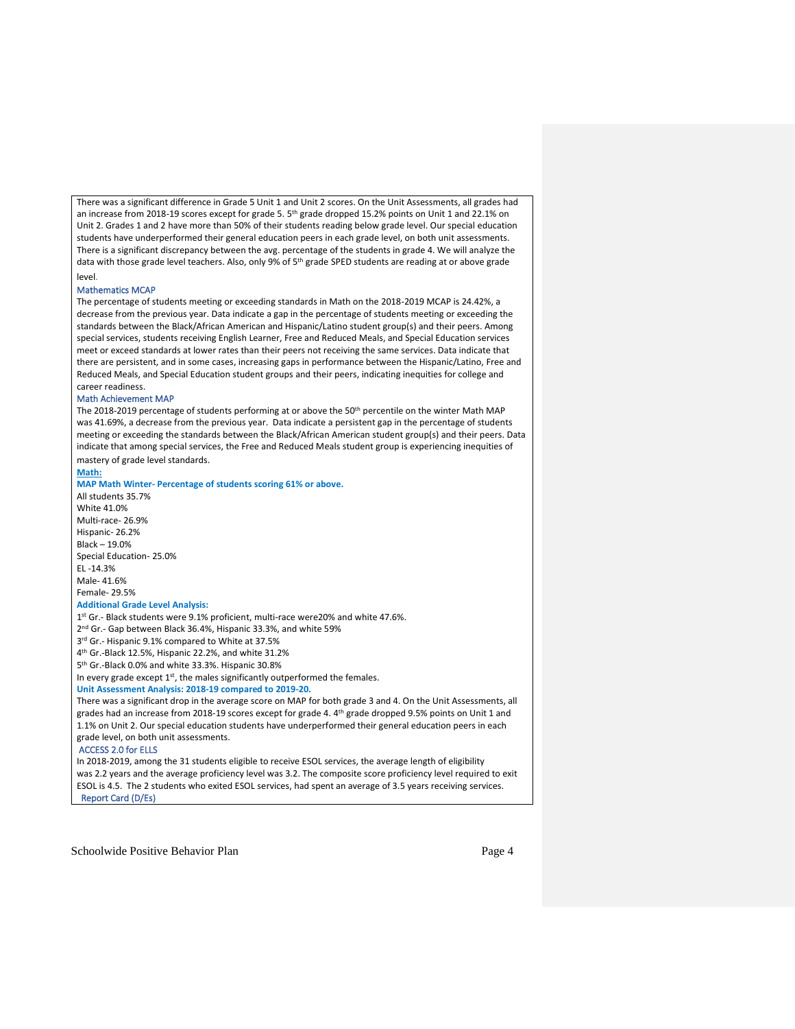There was a significant difference in Grade 5 Unit 1 and Unit 2 scores. On the Unit Assessments, all grades had an increase from 2018-19 scores except for grade 5. 5<sup>th</sup> grade dropped 15.2% points on Unit 1 and 22.1% on Unit 2. Grades 1 and 2 have more than 50% of their students reading below grade level. Our special education students have underperformed their general education peers in each grade level, on both unit assessments. There is a significant discrepancy between the avg. percentage of the students in grade 4. We will analyze the data with those grade level teachers. Also, only 9% of 5<sup>th</sup> grade SPED students are reading at or above grade level.

#### Mathematics MCAP

The percentage of students meeting or exceeding standards in Math on the 2018-2019 MCAP is 24.42%, a decrease from the previous year. Data indicate a gap in the percentage of students meeting or exceeding the standards between the Black/African American and Hispanic/Latino student group(s) and their peers. Among special services, students receiving English Learner, Free and Reduced Meals, and Special Education services meet or exceed standards at lower rates than their peers not receiving the same services. Data indicate that there are persistent, and in some cases, increasing gaps in performance between the Hispanic/Latino, Free and Reduced Meals, and Special Education student groups and their peers, indicating inequities for college and career readiness.   

#### Math Achievement MAP

The 2018-2019 percentage of students performing at or above the 50<sup>th</sup> percentile on the winter Math MAP was 41.69%, a decrease from the previous year.  Data indicate a persistent gap in the percentage of students meeting or exceeding the standards between the Black/African American student group(s) and their peers. Data indicate that among special services, the Free and Reduced Meals student group is experiencing inequities of mastery of grade level standards.

**Math:**

**MAP Math Winter- Percentage of students scoring 61% or above.**

All students 35.7%  White 41.0%  Multi-race- 26.9%  Hispanic- 26.2%  Black – 19.0%  Special Education- 25.0%  EL -14.3%  Male- 41.6%  Female- 29.5%  **Additional Grade Level Analysis:** 1 st Gr.- Black students were 9.1% proficient, multi-race were20% and white 47.6%.   2 nd Gr.- Gap between Black 36.4%, Hispanic 33.3%, and white 59%  3 rd Gr.- Hispanic 9.1% compared to White at 37.5%  4 th Gr.-Black 12.5%, Hispanic 22.2%, and white 31.2%  5 th Gr.-Black 0.0% and white 33.3%. Hispanic 30.8%  In every grade except  $1<sup>st</sup>$ , the males significantly outperformed the females. **Unit Assessment Analysis: 2018-19 compared to 2019-20.** There was a significant drop in the average score on MAP for both grade 3 and 4. On the Unit Assessments, all grades had an increase from 2018-19 scores except for grade 4. 4<sup>th</sup> grade dropped 9.5% points on Unit 1 and 1.1% on Unit 2. Our special education students have underperformed their general education peers in each grade level, on both unit assessments.  ACCESS 2.0 for ELLS In 2018-2019, among the 31 students eligible to receive ESOL services, the average length of eligibility

was 2.2 years and the average proficiency level was 3.2. The composite score proficiency level required to exit ESOL is 4.5.  The 2 students who exited ESOL services, had spent an average of 3.5 years receiving services.   Report Card (D/Es)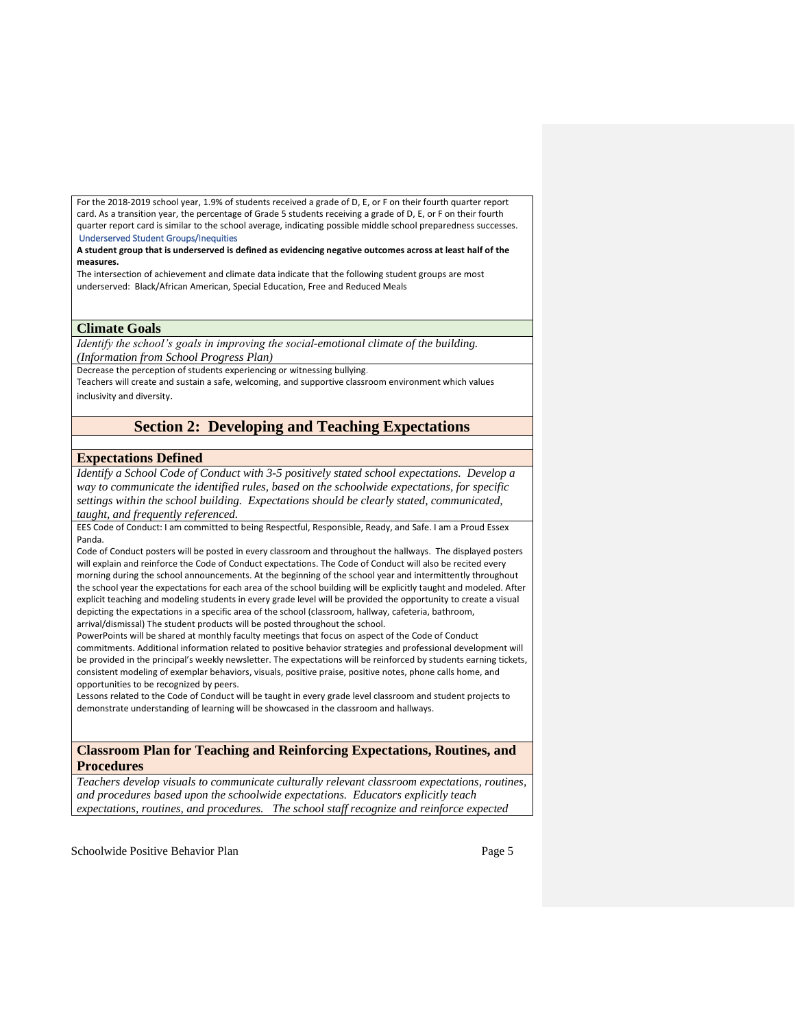For the 2018-2019 school year, 1.9% of students received a grade of D, E, or F on their fourth quarter report card. As a transition year, the percentage of Grade 5 students receiving a grade of D, E, or F on their fourth quarter report card is similar to the school average, indicating possible middle school preparedness successes.  Underserved Student Groups/Inequities

**A student group that is underserved is defined as evidencing negative outcomes across at least half of the measures.**

The intersection of achievement and climate data indicate that the following student groups are most underserved:  Black/African American, Special Education, Free and Reduced Meals 

### **Climate Goals**

*Identify the school's goals in improving the social-emotional climate of the building. (Information from School Progress Plan)*

Decrease the perception of students experiencing or witnessing bullying.

Teachers will create and sustain a safe, welcoming, and supportive classroom environment which values inclusivity and diversity.

# **Section 2: Developing and Teaching Expectations**

### **Expectations Defined**

*Identify a School Code of Conduct with 3-5 positively stated school expectations. Develop a way to communicate the identified rules, based on the schoolwide expectations, for specific settings within the school building. Expectations should be clearly stated, communicated, taught, and frequently referenced.* 

EES Code of Conduct: I am committed to being Respectful, Responsible, Ready, and Safe. I am a Proud Essex Panda.

Code of Conduct posters will be posted in every classroom and throughout the hallways. The displayed posters will explain and reinforce the Code of Conduct expectations. The Code of Conduct will also be recited every morning during the school announcements. At the beginning of the school year and intermittently throughout the school year the expectations for each area of the school building will be explicitly taught and modeled. After explicit teaching and modeling students in every grade level will be provided the opportunity to create a visual depicting the expectations in a specific area of the school (classroom, hallway, cafeteria, bathroom, arrival/dismissal) The student products will be posted throughout the school.

PowerPoints will be shared at monthly faculty meetings that focus on aspect of the Code of Conduct commitments. Additional information related to positive behavior strategies and professional development will be provided in the principal's weekly newsletter. The expectations will be reinforced by students earning tickets, consistent modeling of exemplar behaviors, visuals, positive praise, positive notes, phone calls home, and opportunities to be recognized by peers.

Lessons related to the Code of Conduct will be taught in every grade level classroom and student projects to demonstrate understanding of learning will be showcased in the classroom and hallways.

### **Classroom Plan for Teaching and Reinforcing Expectations, Routines, and Procedures**

*Teachers develop visuals to communicate culturally relevant classroom expectations, routines, and procedures based upon the schoolwide expectations. Educators explicitly teach expectations, routines, and procedures. The school staff recognize and reinforce expected*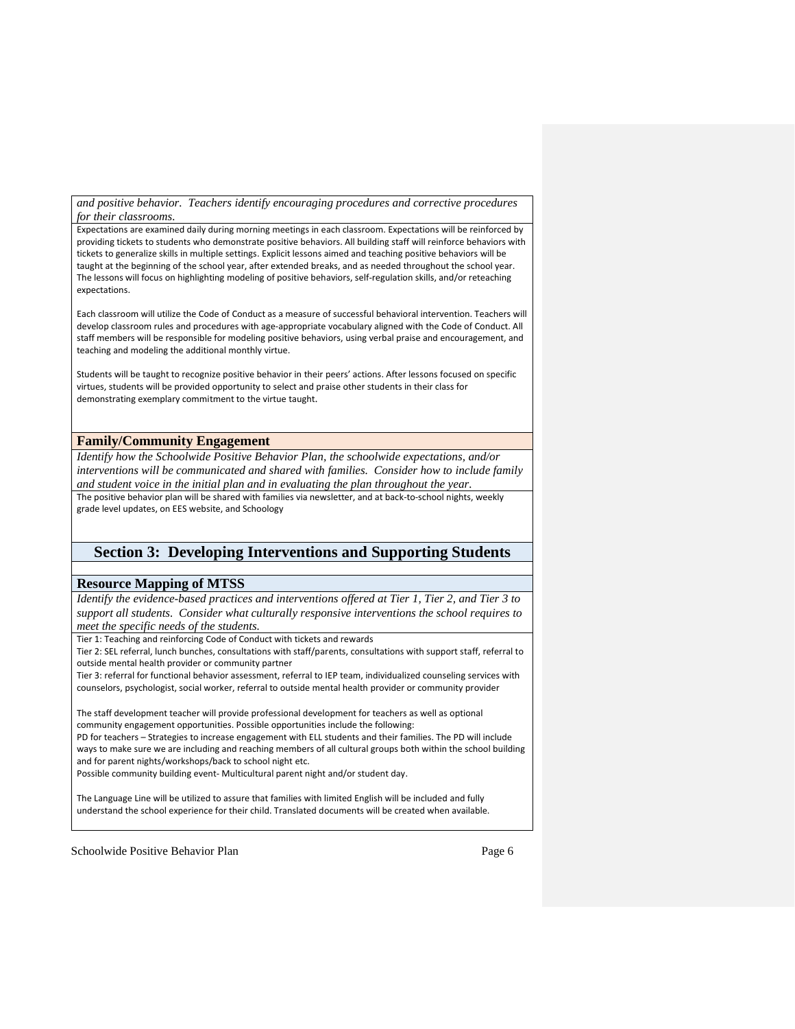*and positive behavior. Teachers identify encouraging procedures and corrective procedures for their classrooms.* 

Expectations are examined daily during morning meetings in each classroom. Expectations will be reinforced by providing tickets to students who demonstrate positive behaviors. All building staff will reinforce behaviors with tickets to generalize skills in multiple settings. Explicit lessons aimed and teaching positive behaviors will be taught at the beginning of the school year, after extended breaks, and as needed throughout the school year. The lessons will focus on highlighting modeling of positive behaviors, self-regulation skills, and/or reteaching expectations.

Each classroom will utilize the Code of Conduct as a measure of successful behavioral intervention. Teachers will develop classroom rules and procedures with age-appropriate vocabulary aligned with the Code of Conduct. All staff members will be responsible for modeling positive behaviors, using verbal praise and encouragement, and teaching and modeling the additional monthly virtue.

Students will be taught to recognize positive behavior in their peers' actions. After lessons focused on specific virtues, students will be provided opportunity to select and praise other students in their class for demonstrating exemplary commitment to the virtue taught.

### **Family/Community Engagement**

*Identify how the Schoolwide Positive Behavior Plan, the schoolwide expectations, and/or interventions will be communicated and shared with families. Consider how to include family and student voice in the initial plan and in evaluating the plan throughout the year.*  The positive behavior plan will be shared with families via newsletter, and at back-to-school nights, weekly grade level updates, on EES website, and Schoology

# **Section 3: Developing Interventions and Supporting Students**

### **Resource Mapping of MTSS**

*Identify the evidence-based practices and interventions offered at Tier 1, Tier 2, and Tier 3 to support all students. Consider what culturally responsive interventions the school requires to meet the specific needs of the students.* 

Tier 1: Teaching and reinforcing Code of Conduct with tickets and rewards

Tier 2: SEL referral, lunch bunches, consultations with staff/parents, consultations with support staff, referral to outside mental health provider or community partner

Tier 3: referral for functional behavior assessment, referral to IEP team, individualized counseling services with counselors, psychologist, social worker, referral to outside mental health provider or community provider

The staff development teacher will provide professional development for teachers as well as optional community engagement opportunities. Possible opportunities include the following:

PD for teachers – Strategies to increase engagement with ELL students and their families. The PD will include ways to make sure we are including and reaching members of all cultural groups both within the school building and for parent nights/workshops/back to school night etc.

Possible community building event- Multicultural parent night and/or student day.

The Language Line will be utilized to assure that families with limited English will be included and fully understand the school experience for their child. Translated documents will be created when available.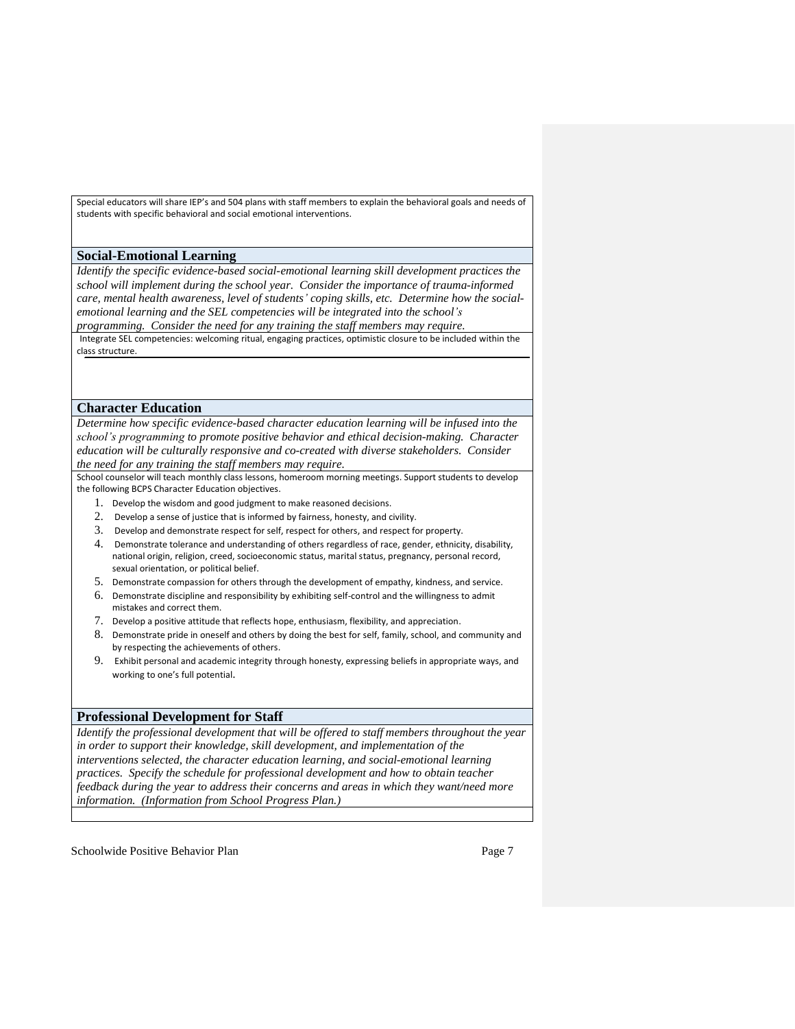Special educators will share IEP's and 504 plans with staff members to explain the behavioral goals and needs of students with specific behavioral and social emotional interventions.

#### **Social-Emotional Learning**

*Identify the specific evidence-based social-emotional learning skill development practices the school will implement during the school year. Consider the importance of trauma-informed care, mental health awareness, level of students' coping skills, etc. Determine how the socialemotional learning and the SEL competencies will be integrated into the school's programming. Consider the need for any training the staff members may require.*

Integrate SEL competencies: welcoming ritual, engaging practices, optimistic closure to be included within the class structure.

#### **Character Education**

*Determine how specific evidence-based character education learning will be infused into the school's programming to promote positive behavior and ethical decision-making. Character education will be culturally responsive and co-created with diverse stakeholders. Consider the need for any training the staff members may require.* 

School counselor will teach monthly class lessons, homeroom morning meetings. Support students to develop the following BCPS Character Education objectives.

- 1. Develop the wisdom and good judgment to make reasoned decisions.
- 2. Develop a sense of justice that is informed by fairness, honesty, and civility.
- 3. Develop and demonstrate respect for self, respect for others, and respect for property.
- 4. Demonstrate tolerance and understanding of others regardless of race, gender, ethnicity, disability, national origin, religion, creed, socioeconomic status, marital status, pregnancy, personal record, sexual orientation, or political belief.
- 5. Demonstrate compassion for others through the development of empathy, kindness, and service.
- 6. Demonstrate discipline and responsibility by exhibiting self-control and the willingness to admit mistakes and correct them.
- 7. Develop a positive attitude that reflects hope, enthusiasm, flexibility, and appreciation.
- 8. Demonstrate pride in oneself and others by doing the best for self, family, school, and community and by respecting the achievements of others.
- 9. Exhibit personal and academic integrity through honesty, expressing beliefs in appropriate ways, and working to one's full potential.

#### **Professional Development for Staff**

*Identify the professional development that will be offered to staff members throughout the year in order to support their knowledge, skill development, and implementation of the interventions selected, the character education learning, and social-emotional learning practices. Specify the schedule for professional development and how to obtain teacher feedback during the year to address their concerns and areas in which they want/need more information. (Information from School Progress Plan.)*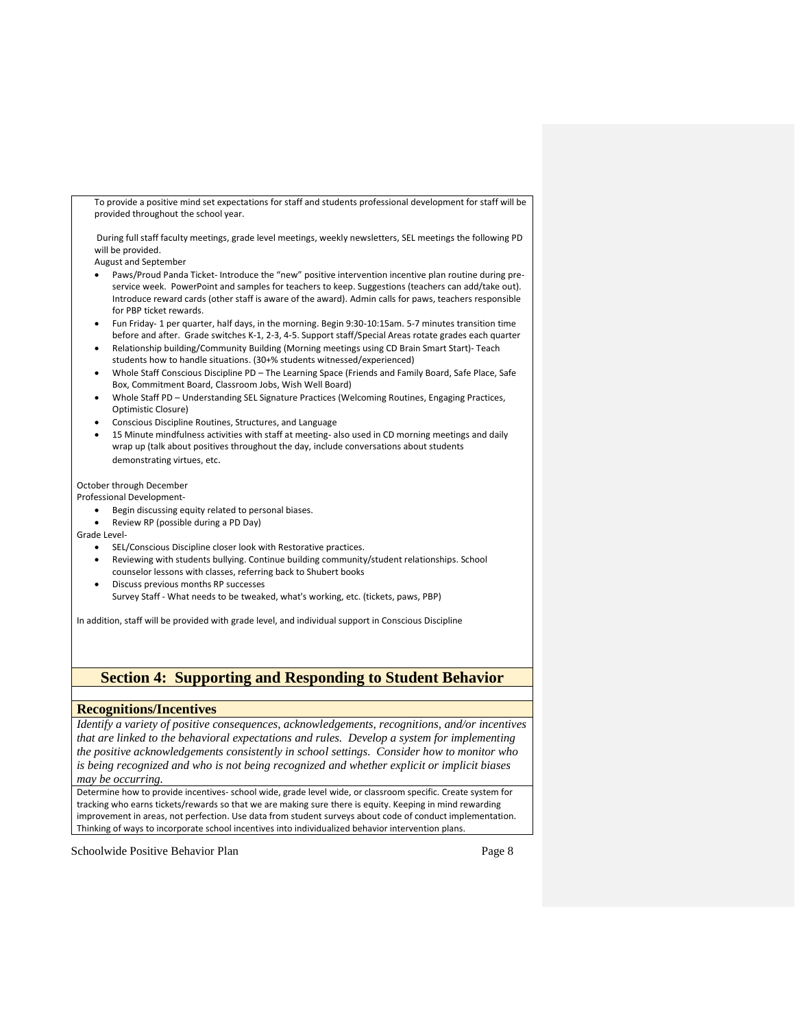To provide a positive mind set expectations for staff and students professional development for staff will be provided throughout the school year.

During full staff faculty meetings, grade level meetings, weekly newsletters, SEL meetings the following PD will be provided.

August and September

- Paws/Proud Panda Ticket- Introduce the "new" positive intervention incentive plan routine during preservice week. PowerPoint and samples for teachers to keep. Suggestions (teachers can add/take out). Introduce reward cards (other staff is aware of the award). Admin calls for paws, teachers responsible for PBP ticket rewards.
- Fun Friday- 1 per quarter, half days, in the morning. Begin 9:30-10:15am. 5-7 minutes transition time before and after. Grade switches K-1, 2-3, 4-5. Support staff/Special Areas rotate grades each quarter
- Relationship building/Community Building (Morning meetings using CD Brain Smart Start)- Teach students how to handle situations. (30+% students witnessed/experienced)
- Whole Staff Conscious Discipline PD The Learning Space (Friends and Family Board, Safe Place, Safe Box, Commitment Board, Classroom Jobs, Wish Well Board)
- Whole Staff PD Understanding SEL Signature Practices (Welcoming Routines, Engaging Practices, Optimistic Closure)
- Conscious Discipline Routines, Structures, and Language
- 15 Minute mindfulness activities with staff at meeting- also used in CD morning meetings and daily wrap up (talk about positives throughout the day, include conversations about students demonstrating virtues, etc.

October through December

Professional Development-

- Begin discussing equity related to personal biases.
- Review RP (possible during a PD Day)

Grade Level-

- SEL/Conscious Discipline closer look with Restorative practices.
- Reviewing with students bullying. Continue building community/student relationships. School counselor lessons with classes, referring back to Shubert books
- Discuss previous months RP successes Survey Staff - What needs to be tweaked, what's working, etc. (tickets, paws, PBP)

In addition, staff will be provided with grade level, and individual support in Conscious Discipline

# **Section 4: Supporting and Responding to Student Behavior**

#### **Recognitions/Incentives**

*Identify a variety of positive consequences, acknowledgements, recognitions, and/or incentives that are linked to the behavioral expectations and rules. Develop a system for implementing the positive acknowledgements consistently in school settings. Consider how to monitor who is being recognized and who is not being recognized and whether explicit or implicit biases may be occurring.* 

Determine how to provide incentives- school wide, grade level wide, or classroom specific. Create system for tracking who earns tickets/rewards so that we are making sure there is equity. Keeping in mind rewarding improvement in areas, not perfection. Use data from student surveys about code of conduct implementation. Thinking of ways to incorporate school incentives into individualized behavior intervention plans.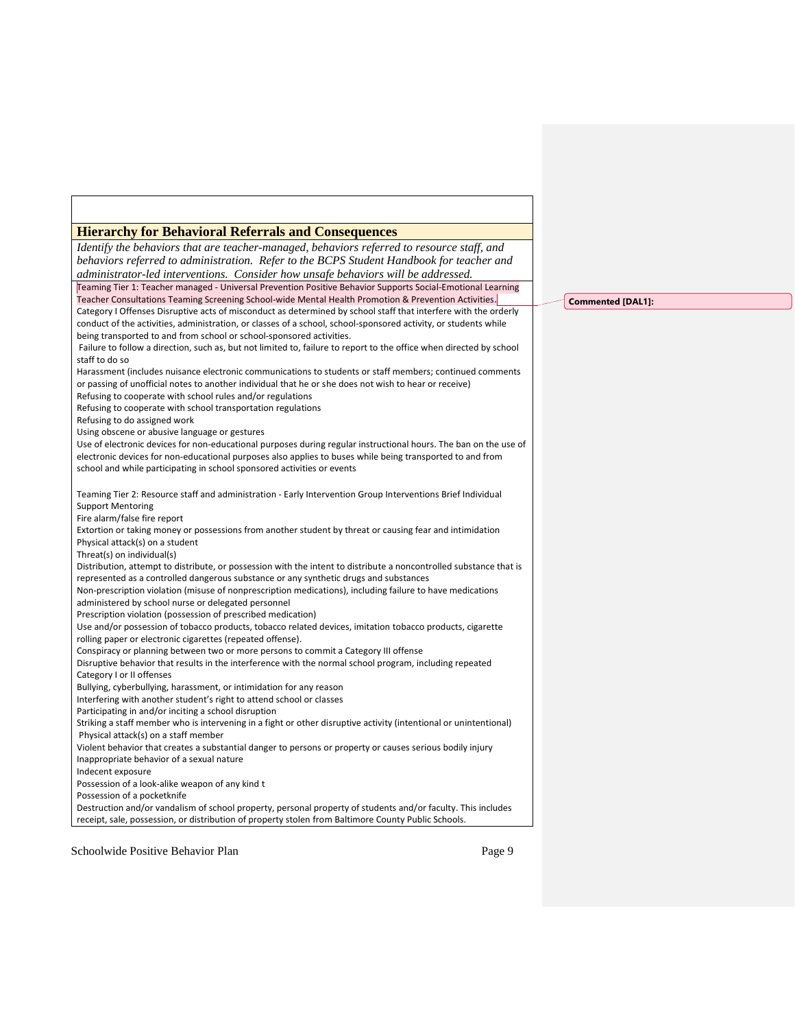| <b>Hierarchy for Behavioral Referrals and Consequences</b>                                                                                                                                     |
|------------------------------------------------------------------------------------------------------------------------------------------------------------------------------------------------|
| Identify the behaviors that are teacher-managed, behaviors referred to resource staff, and                                                                                                     |
| behaviors referred to administration. Refer to the BCPS Student Handbook for teacher and                                                                                                       |
| administrator-led interventions. Consider how unsafe behaviors will be addressed.                                                                                                              |
| Teaming Tier 1: Teacher managed - Universal Prevention Positive Behavior Supports Social-Emotional Learning                                                                                    |
| Teacher Consultations Teaming Screening School-wide Mental Health Promotion & Prevention Activities.                                                                                           |
| Category I Offenses Disruptive acts of misconduct as determined by school staff that interfere with the orderly                                                                                |
| conduct of the activities, administration, or classes of a school, school-sponsored activity, or students while                                                                                |
| being transported to and from school or school-sponsored activities.                                                                                                                           |
| Failure to follow a direction, such as, but not limited to, failure to report to the office when directed by school                                                                            |
| staff to do so                                                                                                                                                                                 |
| Harassment (includes nuisance electronic communications to students or staff members; continued comments                                                                                       |
| or passing of unofficial notes to another individual that he or she does not wish to hear or receive)                                                                                          |
| Refusing to cooperate with school rules and/or regulations                                                                                                                                     |
| Refusing to cooperate with school transportation regulations                                                                                                                                   |
| Refusing to do assigned work                                                                                                                                                                   |
| Using obscene or abusive language or gestures<br>Use of electronic devices for non-educational purposes during regular instructional hours. The ban on the use of                              |
| electronic devices for non-educational purposes also applies to buses while being transported to and from                                                                                      |
| school and while participating in school sponsored activities or events                                                                                                                        |
|                                                                                                                                                                                                |
| Teaming Tier 2: Resource staff and administration - Early Intervention Group Interventions Brief Individual                                                                                    |
| <b>Support Mentoring</b>                                                                                                                                                                       |
| Fire alarm/false fire report                                                                                                                                                                   |
| Extortion or taking money or possessions from another student by threat or causing fear and intimidation                                                                                       |
| Physical attack(s) on a student                                                                                                                                                                |
| Threat(s) on individual(s)                                                                                                                                                                     |
| Distribution, attempt to distribute, or possession with the intent to distribute a noncontrolled substance that is                                                                             |
| represented as a controlled dangerous substance or any synthetic drugs and substances                                                                                                          |
| Non-prescription violation (misuse of nonprescription medications), including failure to have medications                                                                                      |
| administered by school nurse or delegated personnel                                                                                                                                            |
| Prescription violation (possession of prescribed medication)                                                                                                                                   |
| Use and/or possession of tobacco products, tobacco related devices, imitation tobacco products, cigarette                                                                                      |
| rolling paper or electronic cigarettes (repeated offense).                                                                                                                                     |
| Conspiracy or planning between two or more persons to commit a Category III offense<br>Disruptive behavior that results in the interference with the normal school program, including repeated |
| Category I or II offenses                                                                                                                                                                      |
| Bullying, cyberbullying, harassment, or intimidation for any reason                                                                                                                            |
| Interfering with another student's right to attend school or classes                                                                                                                           |
| Participating in and/or inciting a school disruption                                                                                                                                           |
| Striking a staff member who is intervening in a fight or other disruptive activity (intentional or unintentional)                                                                              |
| Physical attack(s) on a staff member                                                                                                                                                           |
| Violent behavior that creates a substantial danger to persons or property or causes serious bodily injury                                                                                      |
| Inappropriate behavior of a sexual nature                                                                                                                                                      |
| Indecent exposure                                                                                                                                                                              |
| Possession of a look-alike weapon of any kind t                                                                                                                                                |
| Possession of a pocketknife                                                                                                                                                                    |
| Destruction and/or vandalism of school property, personal property of students and/or faculty. This includes                                                                                   |
| receipt, sale, possession, or distribution of property stolen from Baltimore County Public Schools.                                                                                            |
|                                                                                                                                                                                                |

**Commented [DAL1]:**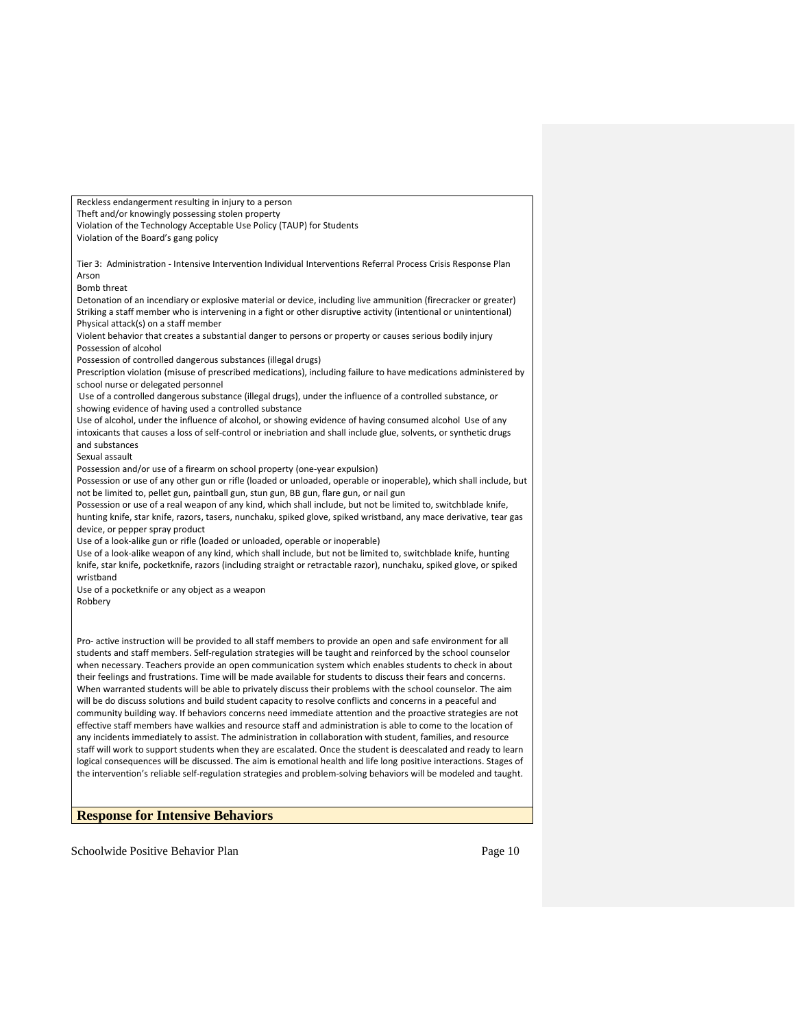Reckless endangerment resulting in injury to a person Theft and/or knowingly possessing stolen property Violation of the Technology Acceptable Use Policy (TAUP) for Students Violation of the Board's gang policy Tier 3: Administration - Intensive Intervention Individual Interventions Referral Process Crisis Response Plan Arson Bomb threat Detonation of an incendiary or explosive material or device, including live ammunition (firecracker or greater) Striking a staff member who is intervening in a fight or other disruptive activity (intentional or unintentional) Physical attack(s) on a staff member Violent behavior that creates a substantial danger to persons or property or causes serious bodily injury Possession of alcohol Possession of controlled dangerous substances (illegal drugs) Prescription violation (misuse of prescribed medications), including failure to have medications administered by school nurse or delegated personnel Use of a controlled dangerous substance (illegal drugs), under the influence of a controlled substance, or showing evidence of having used a controlled substance Use of alcohol, under the influence of alcohol, or showing evidence of having consumed alcohol Use of any intoxicants that causes a loss of self-control or inebriation and shall include glue, solvents, or synthetic drugs and substances Sexual assault Possession and/or use of a firearm on school property (one-year expulsion) Possession or use of any other gun or rifle (loaded or unloaded, operable or inoperable), which shall include, but not be limited to, pellet gun, paintball gun, stun gun, BB gun, flare gun, or nail gun Possession or use of a real weapon of any kind, which shall include, but not be limited to, switchblade knife, hunting knife, star knife, razors, tasers, nunchaku, spiked glove, spiked wristband, any mace derivative, tear gas device, or pepper spray product Use of a look-alike gun or rifle (loaded or unloaded, operable or inoperable) Use of a look-alike weapon of any kind, which shall include, but not be limited to, switchblade knife, hunting knife, star knife, pocketknife, razors (including straight or retractable razor), nunchaku, spiked glove, or spiked wristband Use of a pocketknife or any object as a weapon Robbery Pro- active instruction will be provided to all staff members to provide an open and safe environment for all students and staff members. Self-regulation strategies will be taught and reinforced by the school counselor when necessary. Teachers provide an open communication system which enables students to check in about their feelings and frustrations. Time will be made available for students to discuss their fears and concerns. When warranted students will be able to privately discuss their problems with the school counselor. The aim will be do discuss solutions and build student capacity to resolve conflicts and concerns in a peaceful and community building way. If behaviors concerns need immediate attention and the proactive strategies are not effective staff members have walkies and resource staff and administration is able to come to the location of any incidents immediately to assist. The administration in collaboration with student, families, and resource staff will work to support students when they are escalated. Once the student is deescalated and ready to learn logical consequences will be discussed. The aim is emotional health and life long positive interactions. Stages of the intervention's reliable self-regulation strategies and problem-solving behaviors will be modeled and taught.

### **Response for Intensive Behaviors**